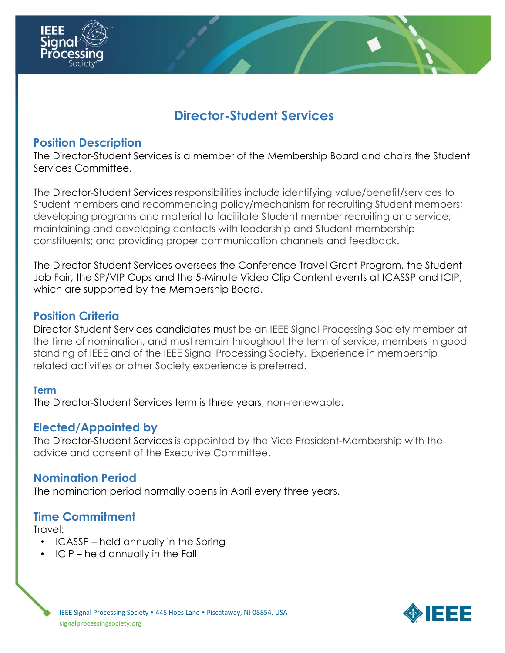

# **Director-Student Services**

## **Position Description**

The Director-Student Services is a member of the Membership Board and chairs the Student Services Committee.

The Director-Student Services responsibilities include identifying value/benefit/services to Student members and recommending policy/mechanism for recruiting Student members; developing programs and material to facilitate Student member recruiting and service; maintaining and developing contacts with leadership and Student membership constituents; and providing proper communication channels and feedback.

The Director-Student Services oversees the Conference Travel Grant Program, the Student Job Fair, the SP/VIP Cups and the 5-Minute Video Clip Content events at ICASSP and ICIP, which are supported by the Membership Board.

## **Position Criteria**

Director-Student Services candidates must be an IEEE Signal Processing Society member at the time of nomination, and must remain throughout the term of service, members in good standing of IEEE and of the IEEE Signal Processing Society. Experience in membership related activities or other Society experience is preferred.

#### **Term**

The Director-Student Services term is three years, non-renewable.

#### **Elected/Appointed by**

The Director-Student Services is appointed by the Vice President-Membership with the advice and consent of the Executive Committee.

#### **Nomination Period**

The nomination period normally opens in April every three years.

## **Time Commitment**

Travel:

- ICASSP held annually in the Spring
- ICIP held annually in the Fall

IEEE Signal Processing Society • 445 Hoes Lane • Piscataway, NJ 08854, USA signalprocessingsociety.org